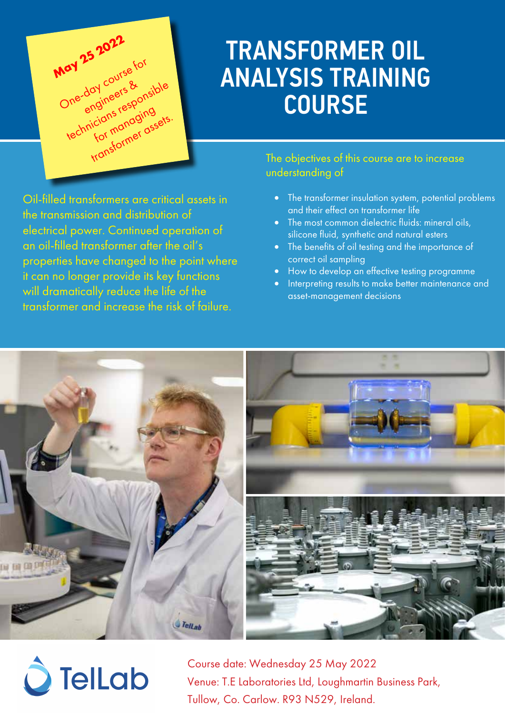

## TRANSFORMER OIL ANALYSIS TRAINING COURSE

Oil-filled transformers are critical assets in the transmission and distribution of electrical power. Continued operation of an oil-filled transformer after the oil's properties have changed to the point where it can no longer provide its key functions will dramatically reduce the life of the transformer and increase the risk of failure.

#### The objectives of this course are to increase understanding of

- The transformer insulation system, potential problems and their effect on transformer life
- The most common dielectric fluids: mineral oils, silicone fluid, synthetic and natural esters
- The benefits of oil testing and the importance of correct oil sampling
- How to develop an effective testing programme
- Interpreting results to make better maintenance and asset-management decisions



# $\hat{O}$  Tellab

Course date: Wednesday 25 May 2022 Venue: T.E Laboratories Ltd, Loughmartin Business Park, Tullow, Co. Carlow. R93 N529, Ireland.